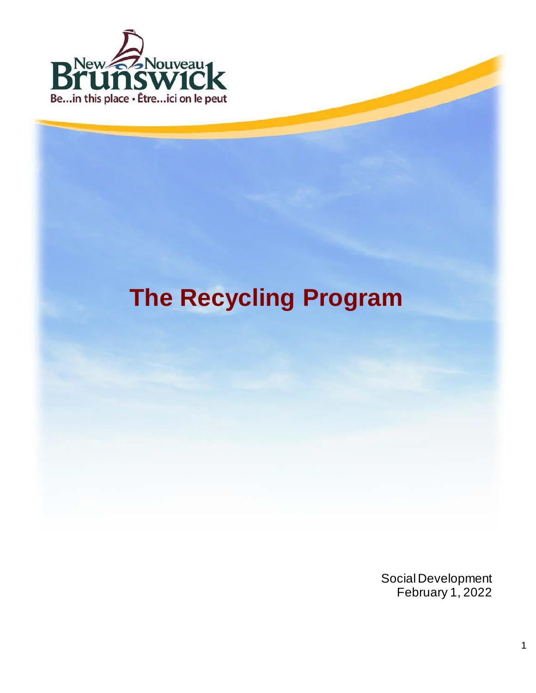

# **The Recycling Program**

Social Development February 1, 2022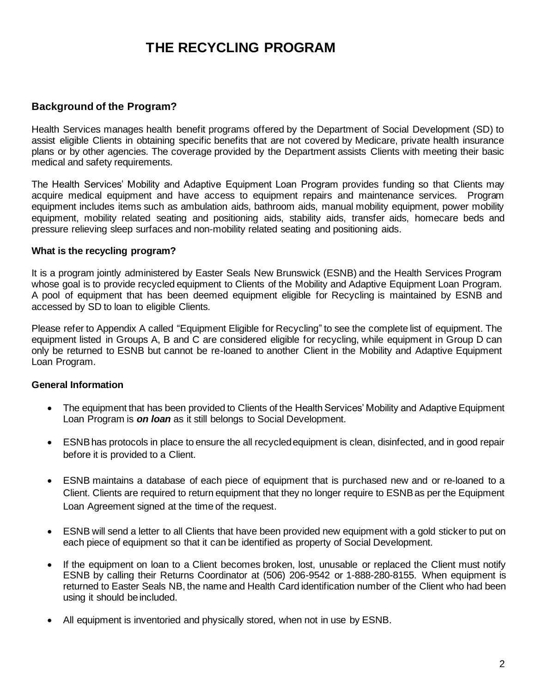## **THE RECYCLING PROGRAM**

#### **Background of the Program?**

Health Services manages health benefit programs offered by the Department of Social Development (SD) to assist eligible Clients in obtaining specific benefits that are not covered by Medicare, private health insurance plans or by other agencies. The coverage provided by the Department assists Clients with meeting their basic medical and safety requirements.

The Health Services' Mobility and Adaptive Equipment Loan Program provides funding so that Clients may acquire medical equipment and have access to equipment repairs and maintenance services. Program equipment includes items such as ambulation aids, bathroom aids, manual mobility equipment, power mobility equipment, mobility related seating and positioning aids, stability aids, transfer aids, homecare beds and pressure relieving sleep surfaces and non-mobility related seating and positioning aids.

#### **What is the recycling program?**

It is a program jointly administered by Easter Seals New Brunswick (ESNB) and the Health Services Program whose goal is to provide recycled equipment to Clients of the Mobility and Adaptive Equipment Loan Program. A pool of equipment that has been deemed equipment eligible for Recycling is maintained by ESNB and accessed by SD to loan to eligible Clients.

Please refer to Appendix A called "Equipment Eligible for Recycling" to see the complete list of equipment. The equipment listed in Groups A, B and C are considered eligible for recycling, while equipment in Group D can only be returned to ESNB but cannot be re-loaned to another Client in the Mobility and Adaptive Equipment Loan Program.

#### **General Information**

- The equipment that has been provided to Clients of the Health Services' Mobility and Adaptive Equipment Loan Program is *on loan* as it still belongs to Social Development.
- ESNB has protocols in place to ensure the all recycled equipment is clean, disinfected, and in good repair before it is provided to a Client.
- ESNB maintains a database of each piece of equipment that is purchased new and or re-loaned to a Client. Clients are required to return equipment that they no longer require to ESNB as per the Equipment Loan Agreement signed at the time of the request.
- ESNB will send a letter to all Clients that have been provided new equipment with a gold sticker to put on each piece of equipment so that it can be identified as property of Social Development.
- If the equipment on loan to a Client becomes broken, lost, unusable or replaced the Client must notify ESNB by calling their Returns Coordinator at (506) 206-9542 or 1-888-280-8155. When equipment is returned to Easter Seals NB, the name and Health Card identification number of the Client who had been using it should be included.
- All equipment is inventoried and physically stored, when not in use by ESNB.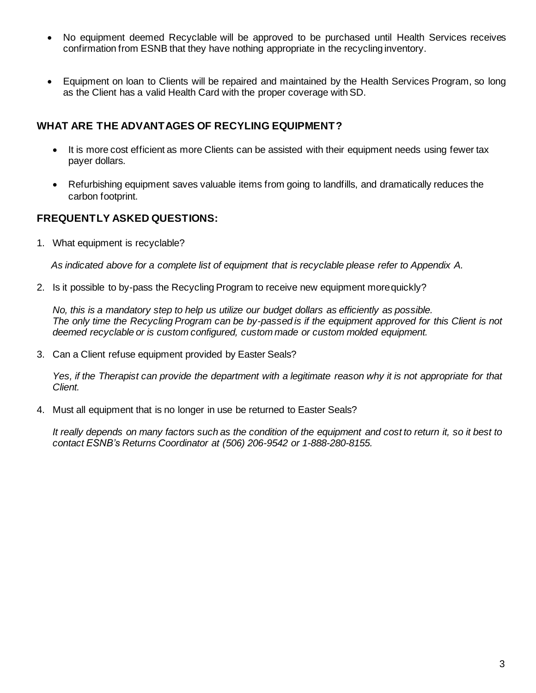- No equipment deemed Recyclable will be approved to be purchased until Health Services receives confirmation from ESNB that they have nothing appropriate in the recycling inventory.
- Equipment on loan to Clients will be repaired and maintained by the Health Services Program, so long as the Client has a valid Health Card with the proper coverage with SD.

### **WHAT ARE THE ADVANTAGES OF RECYLING EQUIPMENT?**

- It is more cost efficient as more Clients can be assisted with their equipment needs using fewer tax payer dollars.
- Refurbishing equipment saves valuable items from going to landfills, and dramatically reduces the carbon footprint.

### **FREQUENTLY ASKED QUESTIONS:**

1. What equipment is recyclable?

*As indicated above for a complete list of equipment that is recyclable please refer to Appendix A.*

2. Is it possible to by-pass the Recycling Program to receive new equipment morequickly?

*No, this is a mandatory step to help us utilize our budget dollars as efficiently as possible. The only time the Recycling Program can be by-passed is if the equipment approved for this Client is not deemed recyclable or is custom configured, custom made or custom molded equipment.*

3. Can a Client refuse equipment provided by Easter Seals?

*Yes, if the Therapist can provide the department with a legitimate reason why it is not appropriate for that Client.*

4. Must all equipment that is no longer in use be returned to Easter Seals?

It really depends on many factors such as the condition of the equipment and cost to return it, so it best to *contact ESNB's Returns Coordinator at (506) 206-9542 or 1-888-280-8155.*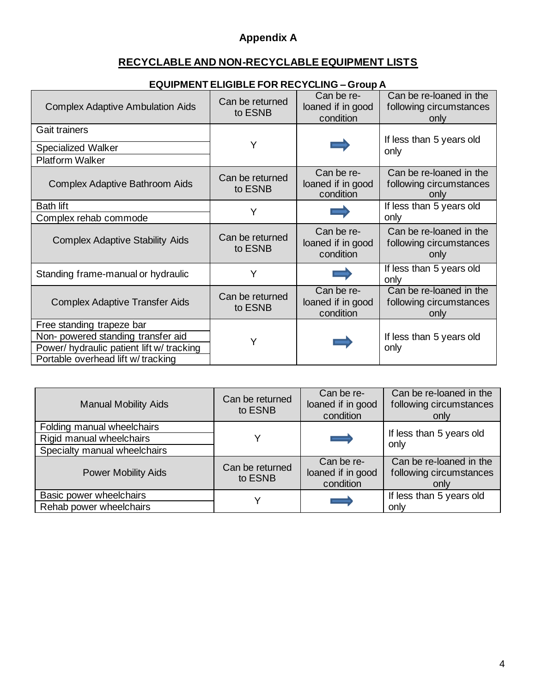## **Appendix A**

## **RECYCLABLE AND NON-RECYCLABLE EQUIPMENT LISTS**

| <b>Complex Adaptive Ambulation Aids</b>   | Can be returned<br>to ESNB | Can be re-<br>loaned if in good<br>condition | Can be re-loaned in the<br>following circumstances<br>only |
|-------------------------------------------|----------------------------|----------------------------------------------|------------------------------------------------------------|
| <b>Gait trainers</b>                      |                            |                                              |                                                            |
| <b>Specialized Walker</b>                 | Y                          |                                              | If less than 5 years old<br>only                           |
| Platform Walker                           |                            |                                              |                                                            |
| <b>Complex Adaptive Bathroom Aids</b>     | Can be returned<br>to ESNB | Can be re-<br>loaned if in good<br>condition | Can be re-loaned in the<br>following circumstances<br>only |
| <b>Bath lift</b>                          |                            |                                              | If less than 5 years old                                   |
| Complex rehab commode                     |                            |                                              | only                                                       |
| <b>Complex Adaptive Stability Aids</b>    | Can be returned<br>to ESNB | Can be re-<br>loaned if in good<br>condition | Can be re-loaned in the<br>following circumstances<br>only |
| Standing frame-manual or hydraulic        | Y                          |                                              | If less than 5 years old<br>only                           |
| <b>Complex Adaptive Transfer Aids</b>     | Can be returned<br>to ESNB | Can be re-<br>loaned if in good<br>condition | Can be re-loaned in the<br>following circumstances<br>only |
| Free standing trapeze bar                 |                            |                                              |                                                            |
| Non-powered standing transfer aid         | Y                          |                                              | If less than 5 years old                                   |
| Power/ hydraulic patient lift w/ tracking |                            |                                              | only                                                       |
| Portable overhead lift w/tracking         |                            |                                              |                                                            |

## **EQUIPMENT ELIGIBLE FOR RECYCLING – Group A**

| <b>Manual Mobility Aids</b>  | Can be returned<br>to ESNB | Can be re-<br>loaned if in good<br>condition | Can be re-loaned in the<br>following circumstances<br>only |
|------------------------------|----------------------------|----------------------------------------------|------------------------------------------------------------|
| Folding manual wheelchairs   |                            |                                              |                                                            |
| Rigid manual wheelchairs     |                            | —                                            | If less than 5 years old<br>only                           |
| Specialty manual wheelchairs |                            |                                              |                                                            |
| <b>Power Mobility Aids</b>   | Can be returned<br>to ESNB | Can be re-<br>loaned if in good<br>condition | Can be re-loaned in the<br>following circumstances<br>only |
| Basic power wheelchairs      |                            | —                                            | If less than 5 years old                                   |
| Rehab power wheelchairs      |                            |                                              | only                                                       |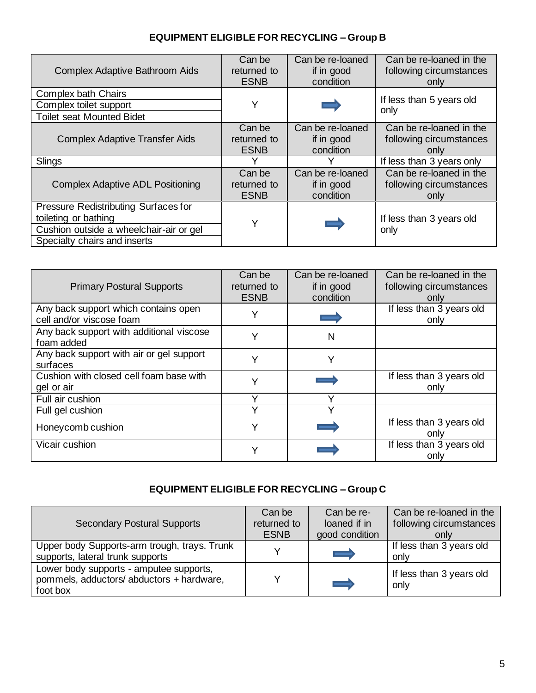## **EQUIPMENT ELIGIBLE FOR RECYCLING – Group B**

| <b>Complex Adaptive Bathroom Aids</b>                                                                                                   | Can be      | Can be re-loaned | Can be re-loaned in the          |
|-----------------------------------------------------------------------------------------------------------------------------------------|-------------|------------------|----------------------------------|
|                                                                                                                                         | returned to | if in good       | following circumstances          |
|                                                                                                                                         | <b>ESNB</b> | condition        | only                             |
| <b>Complex bath Chairs</b><br>Complex toilet support<br><b>Toilet seat Mounted Bidet</b>                                                | Y           | -                | If less than 5 years old<br>only |
| <b>Complex Adaptive Transfer Aids</b>                                                                                                   | Can be      | Can be re-loaned | Can be re-loaned in the          |
|                                                                                                                                         | returned to | if in good       | following circumstances          |
|                                                                                                                                         | <b>ESNB</b> | condition        | only                             |
| Slings                                                                                                                                  |             |                  | If less than 3 years only        |
| <b>Complex Adaptive ADL Positioning</b>                                                                                                 | Can be      | Can be re-loaned | Can be re-loaned in the          |
|                                                                                                                                         | returned to | if in good       | following circumstances          |
|                                                                                                                                         | <b>ESNB</b> | condition        | only                             |
| Pressure Redistributing Surfaces for<br>toileting or bathing<br>Cushion outside a wheelchair-air or gel<br>Specialty chairs and inserts | Y           |                  | If less than 3 years old<br>only |

| <b>Primary Postural Supports</b>                       | Can be<br>returned to | Can be re-loaned<br>if in good | Can be re-loaned in the<br>following circumstances |
|--------------------------------------------------------|-----------------------|--------------------------------|----------------------------------------------------|
|                                                        | <b>ESNB</b>           | condition                      | only                                               |
| Any back support which contains open                   |                       |                                | If less than 3 years old                           |
| cell and/or viscose foam                               |                       |                                | only                                               |
| Any back support with additional viscose<br>foam added |                       | N                              |                                                    |
| Any back support with air or gel support               |                       |                                |                                                    |
| surfaces                                               | Y                     | Y                              |                                                    |
| Cushion with closed cell foam base with                |                       |                                | If less than 3 years old                           |
| gel or air                                             |                       |                                | only                                               |
| Full air cushion                                       |                       | v                              |                                                    |
| Full gel cushion                                       |                       |                                |                                                    |
|                                                        | v                     |                                | If less than 3 years old                           |
| Honeycomb cushion                                      |                       |                                | only                                               |
| Vicair cushion                                         |                       |                                | If less than 3 years old                           |
|                                                        | Y                     |                                | only                                               |

## **EQUIPMENT ELIGIBLE FOR RECYCLING – Group C**

| <b>Secondary Postural Supports</b>                                                               | Can be<br>returned to<br><b>ESNB</b> | Can be re-<br>loaned if in<br>good condition | Can be re-loaned in the<br>following circumstances<br>only |
|--------------------------------------------------------------------------------------------------|--------------------------------------|----------------------------------------------|------------------------------------------------------------|
| Upper body Supports-arm trough, trays. Trunk<br>supports, lateral trunk supports                 |                                      | --                                           | If less than 3 years old<br>only                           |
| Lower body supports - amputee supports,<br>pommels, adductors/ abductors + hardware,<br>foot box |                                      | =                                            | If less than 3 years old<br>only                           |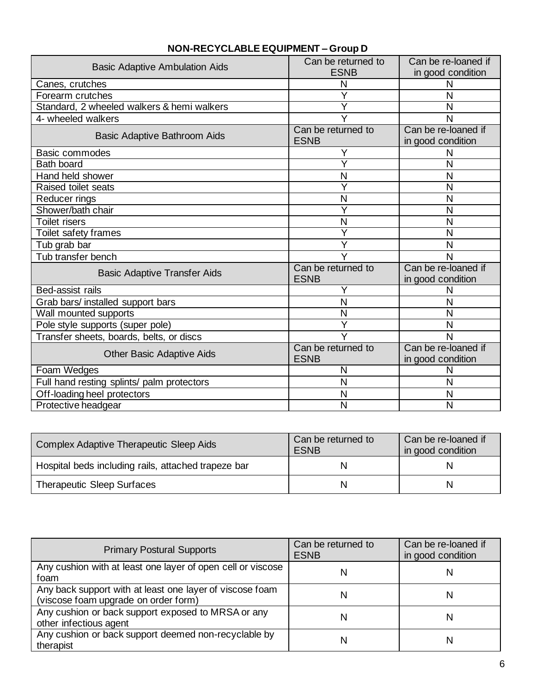| <b>Basic Adaptive Ambulation Aids</b>      | Can be returned to<br><b>ESNB</b> | Can be re-loaned if<br>in good condition |
|--------------------------------------------|-----------------------------------|------------------------------------------|
| Canes, crutches                            | N                                 | N                                        |
| Forearm crutches                           | Ý                                 | N                                        |
| Standard, 2 wheeled walkers & hemi walkers | Y                                 | N                                        |
| 4- wheeled walkers                         |                                   | N                                        |
| Basic Adaptive Bathroom Aids               | Can be returned to<br><b>ESNB</b> | Can be re-loaned if<br>in good condition |
| Basic commodes                             | Y                                 | N                                        |
| <b>Bath board</b>                          | Ÿ                                 | N                                        |
| Hand held shower                           | N                                 | N                                        |
| <b>Raised toilet seats</b>                 | Y                                 | N                                        |
| Reducer rings                              | N                                 | N                                        |
| Shower/bath chair                          | Y                                 | N                                        |
| <b>Toilet risers</b>                       | N                                 | N                                        |
| Toilet safety frames                       | Y                                 | N                                        |
| Tub grab bar                               | Y                                 | N                                        |
| Tub transfer bench                         |                                   | N                                        |
| <b>Basic Adaptive Transfer Aids</b>        | Can be returned to<br><b>ESNB</b> | Can be re-loaned if<br>in good condition |
| Bed-assist rails                           |                                   | N                                        |
| Grab bars/ installed support bars          | N                                 | N                                        |
| Wall mounted supports                      | N                                 | N                                        |
| Pole style supports (super pole)           | Y                                 | N                                        |
| Transfer sheets, boards, belts, or discs   | $\overline{Y}$                    | N                                        |
| <b>Other Basic Adaptive Aids</b>           | Can be returned to<br><b>ESNB</b> | Can be re-loaned if<br>in good condition |
| Foam Wedges                                | N                                 | N                                        |
| Full hand resting splints/ palm protectors | N                                 | N                                        |
| Off-loading heel protectors                | N                                 | N                                        |
| Protective headgear                        | N                                 | N                                        |

## **NON-RECYCLABLE EQUIPMENT – Group D**

| <b>Complex Adaptive Therapeutic Sleep Aids</b>      | Can be returned to<br><b>ESNB</b> | Can be re-loaned if<br>in good condition |
|-----------------------------------------------------|-----------------------------------|------------------------------------------|
| Hospital beds including rails, attached trapeze bar |                                   |                                          |
| <b>Therapeutic Sleep Surfaces</b>                   |                                   | N                                        |

| <b>Primary Postural Supports</b>                                                                 | Can be returned to<br><b>ESNB</b> | Can be re-loaned if<br>in good condition |
|--------------------------------------------------------------------------------------------------|-----------------------------------|------------------------------------------|
| Any cushion with at least one layer of open cell or viscose<br>foam                              | N                                 | N                                        |
| Any back support with at least one layer of viscose foam<br>(viscose foam upgrade on order form) | N                                 | N                                        |
| Any cushion or back support exposed to MRSA or any<br>other infectious agent                     | N                                 | N                                        |
| Any cushion or back support deemed non-recyclable by<br>therapist                                | N                                 | N                                        |